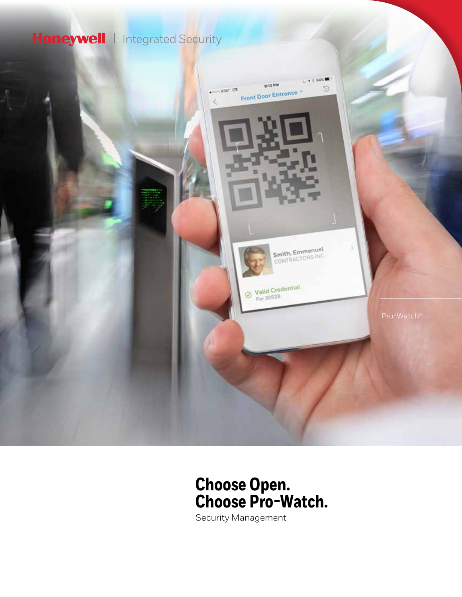## Honeywell | Integrated Security



## **Choose Open. Choose Pro-Watch.**

Security Management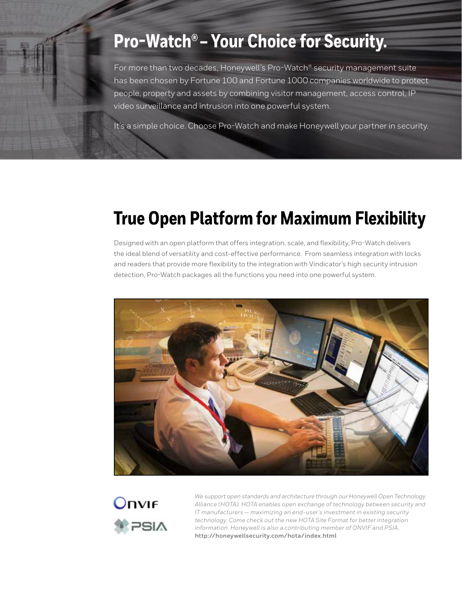# **Pro-Watch® – Your Choice for Security.**

For more than two decades, Honeywell's Pro-Watch® security management suite has been chosen by Fortune 100 and Fortune 1000 companies worldwide to protect people, property and assets by combining visitor management, access control, IP video surveillance and intrusion into one powerful system.

It's a simple choice. Choose Pro-Watch and make Honeywell your partner in security.

# **True Open Platform for Maximum Flexibility**

Designed with an open platform that offers integration, scale, and flexibility, Pro-Watch delivers the ideal blend of versatility and cost-effective performance. From seamless integration with locks and readers that provide more flexibility to the integration with Vindicator's high security intrusion detection, Pro-Watch packages all the functions you need into one powerful system.





*We support open standards and architecture through our Honeywell Open Technology Alliance (HOTA). HOTA enables open exchange of technology between security and IT manufacturers — maximizing an end-user's investment in existing security technology. Come check out the new HOTA Site Format for better integration information. Honeywell is also a contributing member of ONVIF and PSIA.*  **http://honeywellsecurity.com/hota/index.html**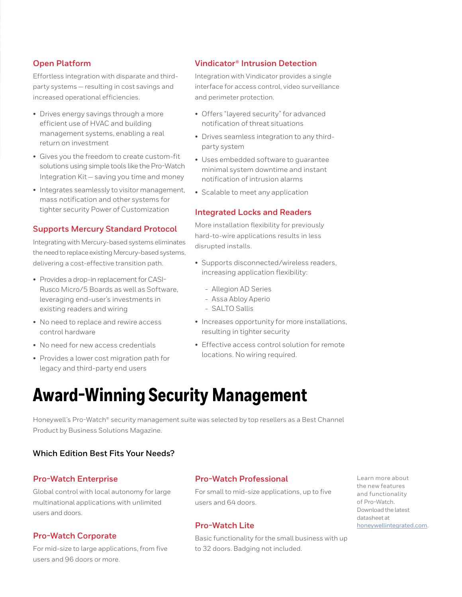#### **Open Platform**

Effortless integration with disparate and thirdparty systems — resulting in cost savings and increased operational efficiencies.

- Drives energy savings through a more efficient use of HVAC and building management systems, enabling a real return on investment
- Gives you the freedom to create custom-fit solutions using simple tools like the Pro-Watch Integration Kit — saving you time and money
- Integrates seamlessly to visitor management, mass notification and other systems for tighter security Power of Customization

### **Supports Mercury Standard Protocol**

Integrating with Mercury-based systems eliminates the need to replace existing Mercury-based systems, delivering a cost-effective transition path.

- Provides a drop-in replacement for CASI-Rusco Micro/5 Boards as well as Software, leveraging end-user's investments in existing readers and wiring
- No need to replace and rewire access control hardware
- No need for new access credentials
- Provides a lower cost migration path for legacy and third-party end users

#### **Vindicator® Intrusion Detection**

Integration with Vindicator provides a single interface for access control, video surveillance and perimeter protection.

- Offers "layered security" for advanced notification of threat situations
- Drives seamless integration to any thirdparty system
- Uses embedded software to guarantee minimal system downtime and instant notification of intrusion alarms
- Scalable to meet any application

#### **Integrated Locks and Readers**

More installation flexibility for previously hard-to-wire applications results in less disrupted installs.

- Supports disconnected/wireless readers, increasing application flexibility:
	- Allegion AD Series
	- Assa Abloy Aperio
	- SALTO Sallis
- Increases opportunity for more installations, resulting in tighter security
- Effective access control solution for remote locations. No wiring required.

## **Award-Winning Security Management**

Honeywell's Pro-Watch® security management suite was selected by top resellers as a Best Channel Product by Business Solutions Magazine.

### **Which Edition Best Fits Your Needs?**

#### **Pro-Watch Enterprise**

Global control with local autonomy for large multinational applications with unlimited users and doors.

#### **Pro-Watch Corporate**

For mid-size to large applications, from five users and 96 doors or more.

#### **Pro-Watch Professional**

For small to mid-size applications, up to five users and 64 doors.

#### **Pro-Watch Lite**

Basic functionality for the small business with up to 32 doors. Badging not included.

Learn more about the new features and functionality of Pro-Watch. Download the latest datasheet at [honeywellintegrated.com](http://honeywellintegrated.com).